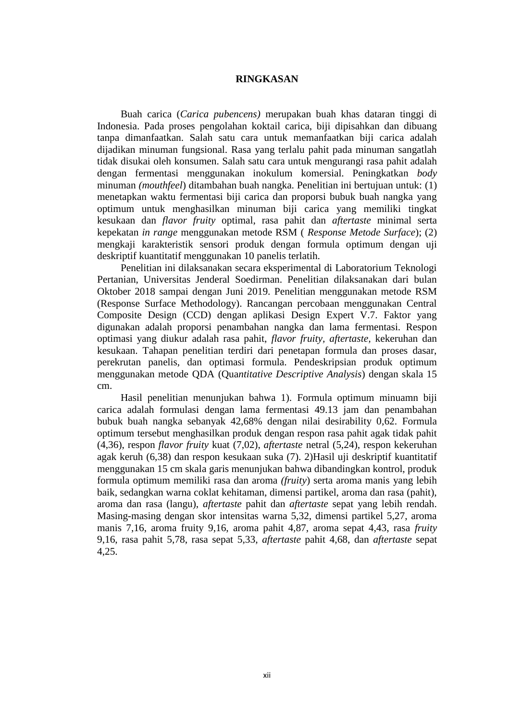## **RINGKASAN**

Buah carica (*Carica pubencens)* merupakan buah khas dataran tinggi di Indonesia. Pada proses pengolahan koktail carica, biji dipisahkan dan dibuang tanpa dimanfaatkan. Salah satu cara untuk memanfaatkan biji carica adalah dijadikan minuman fungsional. Rasa yang terlalu pahit pada minuman sangatlah tidak disukai oleh konsumen. Salah satu cara untuk mengurangi rasa pahit adalah dengan fermentasi menggunakan inokulum komersial. Peningkatkan *body* minuman *(mouthfeel*) ditambahan buah nangka. Penelitian ini bertujuan untuk: (1) menetapkan waktu fermentasi biji carica dan proporsi bubuk buah nangka yang optimum untuk menghasilkan minuman biji carica yang memiliki tingkat kesukaan dan *flavor fruity* optimal, rasa pahit dan *aftertaste* minimal serta kepekatan *in range* menggunakan metode RSM ( *Response Metode Surface*); (2) mengkaji karakteristik sensori produk dengan formula optimum dengan uji deskriptif kuantitatif menggunakan 10 panelis terlatih.

Penelitian ini dilaksanakan secara eksperimental di Laboratorium Teknologi Pertanian, Universitas Jenderal Soedirman. Penelitian dilaksanakan dari bulan Oktober 2018 sampai dengan Juni 2019. Penelitian menggunakan metode RSM (Response Surface Methodology). Rancangan percobaan menggunakan Central Composite Design (CCD) dengan aplikasi Design Expert V.7. Faktor yang digunakan adalah proporsi penambahan nangka dan lama fermentasi. Respon optimasi yang diukur adalah rasa pahit, *flavor fruity, aftertaste,* kekeruhan dan kesukaan. Tahapan penelitian terdiri dari penetapan formula dan proses dasar, perekrutan panelis, dan optimasi formula. Pendeskripsian produk optimum menggunakan metode QDA (Qua*ntitative Descriptive Analysis*) dengan skala 15 cm.

Hasil penelitian menunjukan bahwa 1). Formula optimum minuamn biji carica adalah formulasi dengan lama fermentasi 49.13 jam dan penambahan bubuk buah nangka sebanyak 42,68% dengan nilai desirability 0,62. Formula optimum tersebut menghasilkan produk dengan respon rasa pahit agak tidak pahit (4,36), respon *flavor fruity* kuat (7,02), *aftertaste* netral (5,24), respon kekeruhan agak keruh (6,38) dan respon kesukaan suka (7). 2)Hasil uji deskriptif kuantitatif menggunakan 15 cm skala garis menunjukan bahwa dibandingkan kontrol, produk formula optimum memiliki rasa dan aroma *(fruity*) serta aroma manis yang lebih baik, sedangkan warna coklat kehitaman, dimensi partikel, aroma dan rasa (pahit), aroma dan rasa (langu), *aftertaste* pahit dan *aftertaste* sepat yang lebih rendah. Masing-masing dengan skor intensitas warna 5,32, dimensi partikel 5,27, aroma manis 7,16, aroma fruity 9,16, aroma pahit 4,87, aroma sepat 4,43, rasa *fruity*  9,16, rasa pahit 5,78, rasa sepat 5,33, *aftertaste* pahit 4,68, dan *aftertaste* sepat 4,25.